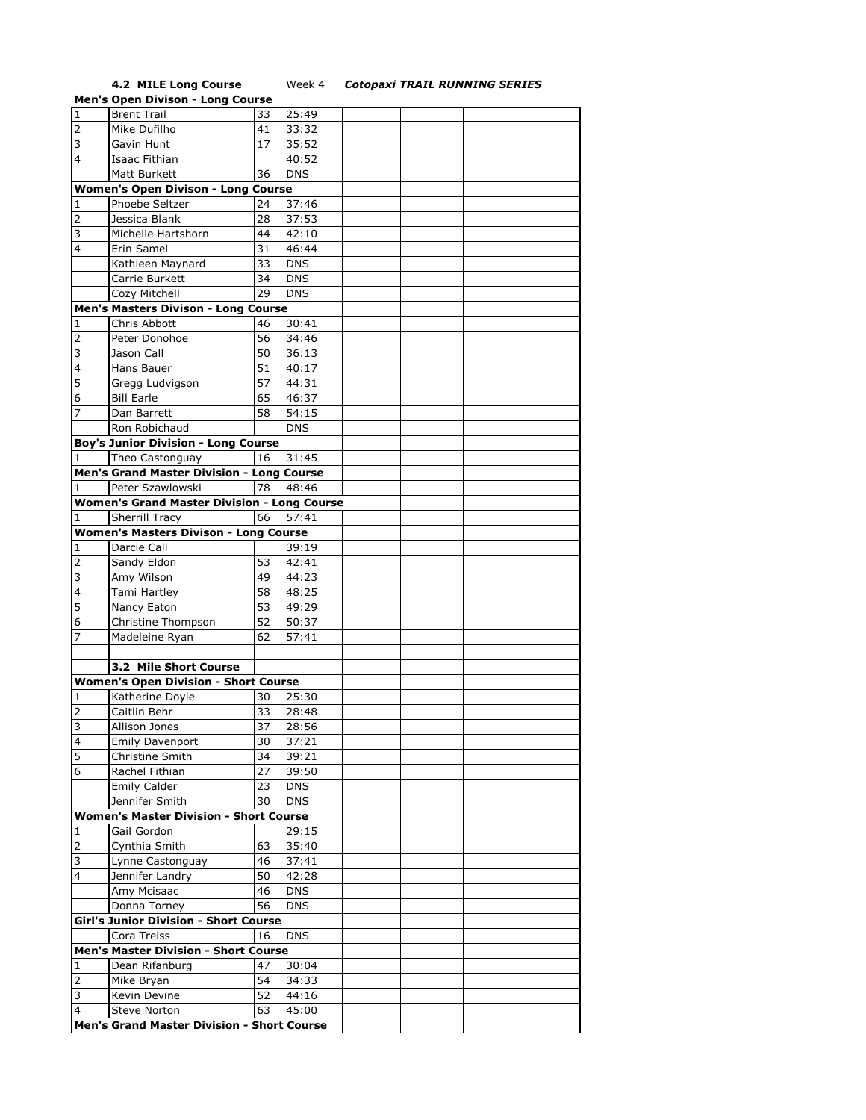## **4.2 MILE Long Course** Week 4 *Cotopaxi TRAIL RUNNING SERIES*

|                | <b>Men's Open Divison - Long Course</b>            |    |            |  |  |
|----------------|----------------------------------------------------|----|------------|--|--|
| $\mathbf 1$    | <b>Brent Trail</b>                                 | 33 | 25:49      |  |  |
| $\overline{2}$ | Mike Dufilho                                       | 41 | 33:32      |  |  |
| 3              | Gavin Hunt                                         | 17 | 35:52      |  |  |
| 4              | Isaac Fithian                                      |    | 40:52      |  |  |
|                |                                                    |    |            |  |  |
|                | Matt Burkett                                       | 36 | <b>DNS</b> |  |  |
|                | <b>Women's Open Divison - Long Course</b>          |    |            |  |  |
| 1              | Phoebe Seltzer                                     | 24 | 37:46      |  |  |
| 2              | Jessica Blank                                      | 28 | 37:53      |  |  |
| 3              | Michelle Hartshorn                                 | 44 | 42:10      |  |  |
| 4              | Erin Samel                                         | 31 | 46:44      |  |  |
|                | Kathleen Maynard                                   | 33 | <b>DNS</b> |  |  |
|                | Carrie Burkett                                     | 34 | <b>DNS</b> |  |  |
|                | Cozy Mitchell                                      | 29 | <b>DNS</b> |  |  |
|                | Men's Masters Divison - Long Course                |    |            |  |  |
| 1              | Chris Abbott                                       | 46 | 30:41      |  |  |
| 2              | Peter Donohoe                                      | 56 | 34:46      |  |  |
|                |                                                    |    |            |  |  |
| 3              | Jason Call                                         | 50 | 36:13      |  |  |
| 4              | Hans Bauer                                         | 51 | 40:17      |  |  |
| 5              | Gregg Ludvigson                                    | 57 | 44:31      |  |  |
| 6              | <b>Bill Earle</b>                                  | 65 | 46:37      |  |  |
| 7              | Dan Barrett                                        | 58 | 54:15      |  |  |
|                | Ron Robichaud                                      |    | <b>DNS</b> |  |  |
|                | <b>Boy's Junior Division - Long Course</b>         |    |            |  |  |
| 1              | Theo Castonguay                                    | 16 | 31:45      |  |  |
|                | Men's Grand Master Division - Long Course          |    |            |  |  |
| 1              | Peter Szawlowski                                   | 78 | 48:46      |  |  |
|                | <b>Women's Grand Master Division - Long Course</b> |    |            |  |  |
| 1              | Sherrill Tracy                                     | 66 | 57:41      |  |  |
|                | <b>Women's Masters Divison - Long Course</b>       |    |            |  |  |
| 1              | Darcie Call                                        |    | 39:19      |  |  |
| 2              | Sandy Eldon                                        | 53 | 42:41      |  |  |
| 3              | Amy Wilson                                         | 49 | 44:23      |  |  |
| 4              | Tami Hartley                                       | 58 | 48:25      |  |  |
|                |                                                    |    |            |  |  |
| 5              | Nancy Eaton                                        | 53 | 49:29      |  |  |
| 6              | Christine Thompson                                 | 52 | 50:37      |  |  |
| 7              | Madeleine Ryan                                     | 62 | 57:41      |  |  |
|                |                                                    |    |            |  |  |
|                | 3.2 Mile Short Course                              |    |            |  |  |
|                | <b>Women's Open Division - Short Course</b>        |    |            |  |  |
| 1              | Katherine Doyle                                    | 30 | 25:30      |  |  |
| 2              | Caitlin Behr                                       | 33 | 28:48      |  |  |
| 3              | Allison Jones                                      | 37 | 28:56      |  |  |
| 4              | <b>Emily Davenport</b>                             | 30 | 37:21      |  |  |
| 5              | Christine Smith                                    | 34 | 39:21      |  |  |
| 6              | Rachel Fithian                                     | 27 | 39:50      |  |  |
|                | <b>Emily Calder</b>                                | 23 | <b>DNS</b> |  |  |
|                | Jennifer Smith                                     | 30 | <b>DNS</b> |  |  |
|                | <b>Women's Master Division - Short Course</b>      |    |            |  |  |
| 1              | Gail Gordon                                        |    | 29:15      |  |  |
| $\overline{2}$ | Cynthia Smith                                      | 63 | 35:40      |  |  |
| 3              |                                                    | 46 |            |  |  |
| $\overline{4}$ | Lynne Castonguay                                   |    | 37:41      |  |  |
|                | Jennifer Landry                                    | 50 | 42:28      |  |  |
|                | Amy Mcisaac                                        | 46 | <b>DNS</b> |  |  |
|                | Donna Torney                                       | 56 | <b>DNS</b> |  |  |
|                | <b>Girl's Junior Division - Short Course</b>       |    |            |  |  |
|                | Cora Treiss                                        | 16 | <b>DNS</b> |  |  |
|                | <b>Men's Master Division - Short Course</b>        |    |            |  |  |
| 1              | Dean Rifanburg                                     | 47 | 30:04      |  |  |
| $\overline{2}$ | Mike Bryan                                         | 54 | 34:33      |  |  |
| 3              | Kevin Devine                                       | 52 | 44:16      |  |  |
| $\overline{4}$ | Steve Norton                                       | 63 | 45:00      |  |  |
|                | Men's Grand Master Division - Short Course         |    |            |  |  |